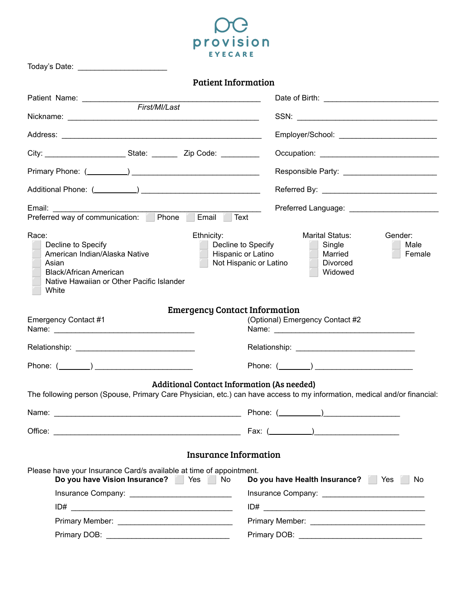

| Today's Date: _________________________                                                                                                                                       |                                                                                                                                                                |
|-------------------------------------------------------------------------------------------------------------------------------------------------------------------------------|----------------------------------------------------------------------------------------------------------------------------------------------------------------|
| <b>Patient Information</b>                                                                                                                                                    |                                                                                                                                                                |
|                                                                                                                                                                               |                                                                                                                                                                |
|                                                                                                                                                                               |                                                                                                                                                                |
|                                                                                                                                                                               |                                                                                                                                                                |
| City: ___________________________State: ____________ Zip Code: ____________                                                                                                   |                                                                                                                                                                |
|                                                                                                                                                                               |                                                                                                                                                                |
|                                                                                                                                                                               |                                                                                                                                                                |
|                                                                                                                                                                               |                                                                                                                                                                |
| Race:<br>Ethnicity:<br>Decline to Specify<br>American Indian/Alaska Native<br>Asian<br><b>Black/African American</b><br>Native Hawaiian or Other Pacific Islander<br>White    | Marital Status:<br>Gender:<br>Decline to Specify<br>Single<br>Male<br>Hispanic or Latino<br>Married<br>Female<br>Not Hispanic or Latino<br>Divorced<br>Widowed |
| <b>Emergency Contact Information</b><br>Emergency Contact #1                                                                                                                  | (Optional) Emergency Contact #2                                                                                                                                |
|                                                                                                                                                                               |                                                                                                                                                                |
|                                                                                                                                                                               |                                                                                                                                                                |
| Phone: $(\_\_)$                                                                                                                                                               |                                                                                                                                                                |
| <b>Additional Contact Information (As needed)</b><br>The following person (Spouse, Primary Care Physician, etc.) can have access to my information, medical and/or financial: |                                                                                                                                                                |
|                                                                                                                                                                               |                                                                                                                                                                |
|                                                                                                                                                                               |                                                                                                                                                                |
| <b>Insurance Information</b>                                                                                                                                                  |                                                                                                                                                                |
| Please have your Insurance Card/s available at time of appointment.<br>Do you have Vision Insurance? Yes No                                                                   | Do you have Health Insurance? Yes<br>No.                                                                                                                       |
|                                                                                                                                                                               |                                                                                                                                                                |
|                                                                                                                                                                               |                                                                                                                                                                |
|                                                                                                                                                                               |                                                                                                                                                                |
|                                                                                                                                                                               |                                                                                                                                                                |